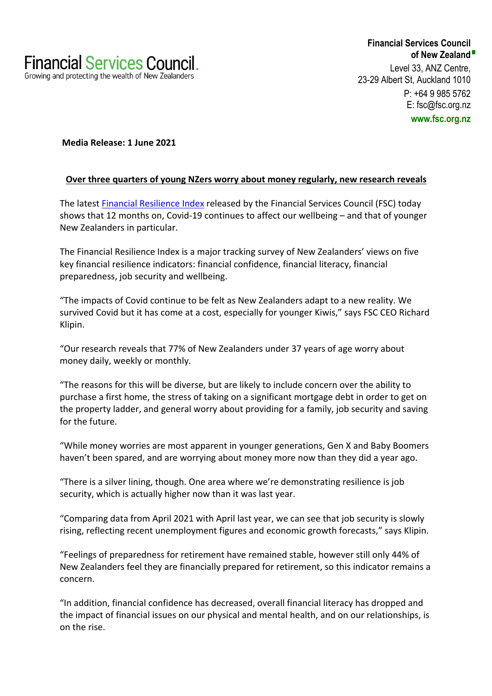**Financial Services Council of New Zealand** Level 33, ANZ Centre, 23-29 Albert St, Auckland 1010 P: +64 9 985 5762 E: fsc@fsc.org.nz **www.fsc.org.nz**

# **Media Release: 1 June 2021**

## **Over three quarters of young NZers worry about money regularly, new research reveals**

The latest Financial Resilience Index released by the Financial Services Council (FSC) today shows that 12 months on, Covid-19 continues to affect our wellbeing – and that of younger New Zealanders in particular.

The Financial Resilience Index is a major tracking survey of New Zealanders' views on five key financial resilience indicators: financial confidence, financial literacy, financial preparedness, job security and wellbeing.

"The impacts of Covid continue to be felt as New Zealanders adapt to a new reality. We survived Covid but it has come at a cost, especially for younger Kiwis," says FSC CEO Richard Klipin.

"Our research reveals that 77% of New Zealanders under 37 years of age worry about money daily, weekly or monthly.

"The reasons for this will be diverse, but are likely to include concern over the ability to purchase a first home, the stress of taking on a significant mortgage debt in order to get on the property ladder, and general worry about providing for a family, job security and saving for the future.

"While money worries are most apparent in younger generations, Gen X and Baby Boomers haven't been spared, and are worrying about money more now than they did a year ago.

"There is a silver lining, though. One area where we're demonstrating resilience is job security, which is actually higher now than it was last year.

"Comparing data from April 2021 with April last year, we can see that job security is slowly rising, reflecting recent unemployment figures and economic growth forecasts," says Klipin.

"Feelings of preparedness for retirement have remained stable, however still only 44% of New Zealanders feel they are financially prepared for retirement, so this indicator remains a concern.

"In addition, financial confidence has decreased, overall financial literacy has dropped and the impact of financial issues on our physical and mental health, and on our relationships, is on the rise.